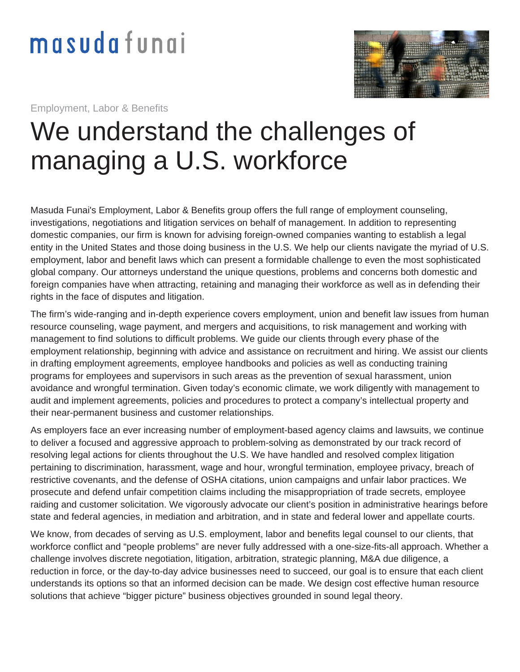

Employment, Labor & Benefits

## We understand the challenges of managing a U.S. workforce

Masuda Funai's Employment, Labor & Benefits group offers the full range of employment counseling, investigations, negotiations and litigation services on behalf of management. In addition to representing domestic companies, our firm is known for advising foreign-owned companies wanting to establish a legal entity in the United States and those doing business in the U.S. We help our clients navigate the myriad of U.S. employment, labor and benefit laws which can present a formidable challenge to even the most sophisticated global company. Our attorneys understand the unique questions, problems and concerns both domestic and foreign companies have when attracting, retaining and managing their workforce as well as in defending their rights in the face of disputes and litigation.

The firm's wide-ranging and in-depth experience covers employment, union and benefit law issues from human resource counseling, wage payment, and mergers and acquisitions, to risk management and working with management to find solutions to difficult problems. We guide our clients through every phase of the employment relationship, beginning with advice and assistance on recruitment and hiring. We assist our clients in drafting employment agreements, employee handbooks and policies as well as conducting training programs for employees and supervisors in such areas as the prevention of sexual harassment, union avoidance and wrongful termination. Given today's economic climate, we work diligently with management to audit and implement agreements, policies and procedures to protect a company's intellectual property and their near-permanent business and customer relationships.

As employers face an ever increasing number of employment-based agency claims and lawsuits, we continue to deliver a focused and aggressive approach to problem-solving as demonstrated by our track record of resolving legal actions for clients throughout the U.S. We have handled and resolved complex litigation pertaining to discrimination, harassment, wage and hour, wrongful termination, employee privacy, breach of restrictive covenants, and the defense of OSHA citations, union campaigns and unfair labor practices. We prosecute and defend unfair competition claims including the misappropriation of trade secrets, employee raiding and customer solicitation. We vigorously advocate our client's position in administrative hearings before state and federal agencies, in mediation and arbitration, and in state and federal lower and appellate courts.

We know, from decades of serving as U.S. employment, labor and benefits legal counsel to our clients, that workforce conflict and "people problems" are never fully addressed with a one-size-fits-all approach. Whether a challenge involves discrete negotiation, litigation, arbitration, strategic planning, M&A due diligence, a reduction in force, or the day-to-day advice businesses need to succeed, our goal is to ensure that each client understands its options so that an informed decision can be made. We design cost effective human resource solutions that achieve "bigger picture" business objectives grounded in sound legal theory.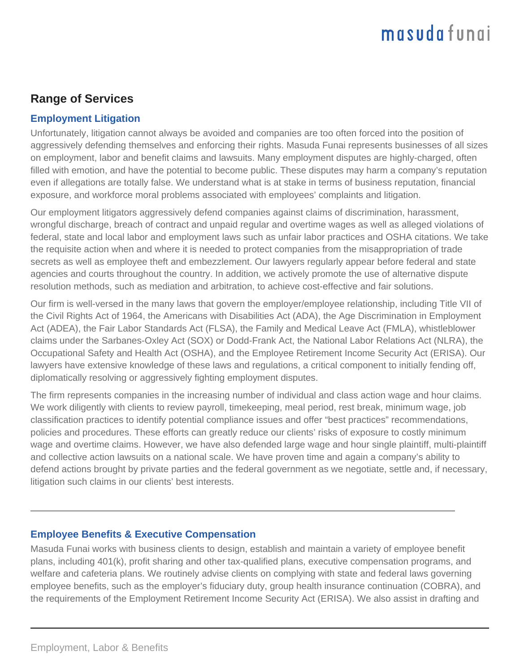### **Range of Services**

### **Employment Litigation**

Unfortunately, litigation cannot always be avoided and companies are too often forced into the position of aggressively defending themselves and enforcing their rights. Masuda Funai represents businesses of all sizes on employment, labor and benefit claims and lawsuits. Many employment disputes are highly-charged, often filled with emotion, and have the potential to become public. These disputes may harm a company's reputation even if allegations are totally false. We understand what is at stake in terms of business reputation, financial exposure, and workforce moral problems associated with employees' complaints and litigation.

Our employment litigators aggressively defend companies against claims of discrimination, harassment, wrongful discharge, breach of contract and unpaid regular and overtime wages as well as alleged violations of federal, state and local labor and employment laws such as unfair labor practices and OSHA citations. We take the requisite action when and where it is needed to protect companies from the misappropriation of trade secrets as well as employee theft and embezzlement. Our lawyers regularly appear before federal and state agencies and courts throughout the country. In addition, we actively promote the use of alternative dispute resolution methods, such as mediation and arbitration, to achieve cost-effective and fair solutions.

Our firm is well-versed in the many laws that govern the employer/employee relationship, including Title VII of the Civil Rights Act of 1964, the Americans with Disabilities Act (ADA), the Age Discrimination in Employment Act (ADEA), the Fair Labor Standards Act (FLSA), the Family and Medical Leave Act (FMLA), whistleblower claims under the Sarbanes-Oxley Act (SOX) or Dodd-Frank Act, the National Labor Relations Act (NLRA), the Occupational Safety and Health Act (OSHA), and the Employee Retirement Income Security Act (ERISA). Our lawyers have extensive knowledge of these laws and regulations, a critical component to initially fending off, diplomatically resolving or aggressively fighting employment disputes.

The firm represents companies in the increasing number of individual and class action wage and hour claims. We work diligently with clients to review payroll, timekeeping, meal period, rest break, minimum wage, job classification practices to identify potential compliance issues and offer "best practices" recommendations, policies and procedures. These efforts can greatly reduce our clients' risks of exposure to costly minimum wage and overtime claims. However, we have also defended large wage and hour single plaintiff, multi-plaintiff and collective action lawsuits on a national scale. We have proven time and again a company's ability to defend actions brought by private parties and the federal government as we negotiate, settle and, if necessary, litigation such claims in our clients' best interests.

### **Employee Benefits & Executive Compensation**

Masuda Funai works with business clients to design, establish and maintain a variety of employee benefit plans, including 401(k), profit sharing and other tax-qualified plans, executive compensation programs, and welfare and cafeteria plans. We routinely advise clients on complying with state and federal laws governing employee benefits, such as the employer's fiduciary duty, group health insurance continuation (COBRA), and the requirements of the Employment Retirement Income Security Act (ERISA). We also assist in drafting and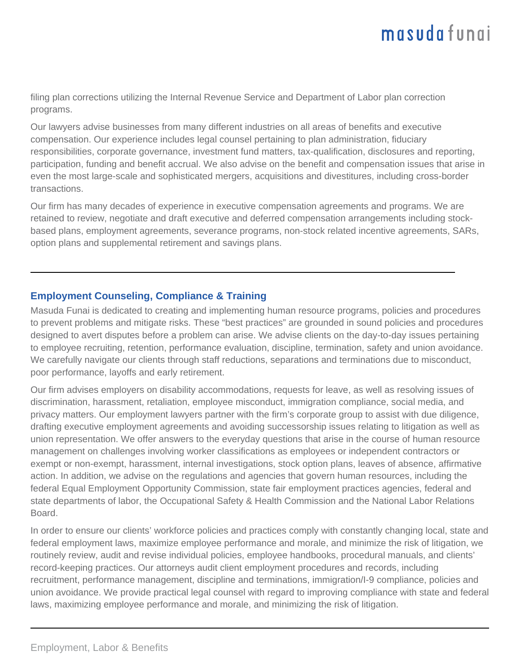filing plan corrections utilizing the Internal Revenue Service and Department of Labor plan correction programs.

Our lawyers advise businesses from many different industries on all areas of benefits and executive compensation. Our experience includes legal counsel pertaining to plan administration, fiduciary responsibilities, corporate governance, investment fund matters, tax-qualification, disclosures and reporting, participation, funding and benefit accrual. We also advise on the benefit and compensation issues that arise in even the most large-scale and sophisticated mergers, acquisitions and divestitures, including cross-border transactions.

Our firm has many decades of experience in executive compensation agreements and programs. We are retained to review, negotiate and draft executive and deferred compensation arrangements including stockbased plans, employment agreements, severance programs, non-stock related incentive agreements, SARs, option plans and supplemental retirement and savings plans.

#### **Employment Counseling, Compliance & Training**

Masuda Funai is dedicated to creating and implementing human resource programs, policies and procedures to prevent problems and mitigate risks. These "best practices" are grounded in sound policies and procedures designed to avert disputes before a problem can arise. We advise clients on the day-to-day issues pertaining to employee recruiting, retention, performance evaluation, discipline, termination, safety and union avoidance. We carefully navigate our clients through staff reductions, separations and terminations due to misconduct, poor performance, layoffs and early retirement.

Our firm advises employers on disability accommodations, requests for leave, as well as resolving issues of discrimination, harassment, retaliation, employee misconduct, immigration compliance, social media, and privacy matters. Our employment lawyers partner with the firm's corporate group to assist with due diligence, drafting executive employment agreements and avoiding successorship issues relating to litigation as well as union representation. We offer answers to the everyday questions that arise in the course of human resource management on challenges involving worker classifications as employees or independent contractors or exempt or non-exempt, harassment, internal investigations, stock option plans, leaves of absence, affirmative action. In addition, we advise on the regulations and agencies that govern human resources, including the federal Equal Employment Opportunity Commission, state fair employment practices agencies, federal and state departments of labor, the Occupational Safety & Health Commission and the National Labor Relations Board.

In order to ensure our clients' workforce policies and practices comply with constantly changing local, state and federal employment laws, maximize employee performance and morale, and minimize the risk of litigation, we routinely review, audit and revise individual policies, employee handbooks, procedural manuals, and clients' record-keeping practices. Our attorneys audit client employment procedures and records, including recruitment, performance management, discipline and terminations, immigration/I-9 compliance, policies and union avoidance. We provide practical legal counsel with regard to improving compliance with state and federal laws, maximizing employee performance and morale, and minimizing the risk of litigation.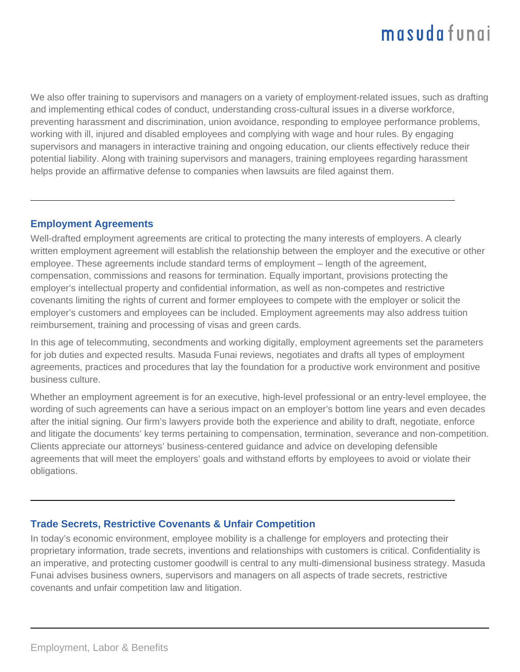We also offer training to supervisors and managers on a variety of employment-related issues, such as drafting and implementing ethical codes of conduct, understanding cross-cultural issues in a diverse workforce, preventing harassment and discrimination, union avoidance, responding to employee performance problems, working with ill, injured and disabled employees and complying with wage and hour rules. By engaging supervisors and managers in interactive training and ongoing education, our clients effectively reduce their potential liability. Along with training supervisors and managers, training employees regarding harassment helps provide an affirmative defense to companies when lawsuits are filed against them.

#### **Employment Agreements**

Well-drafted employment agreements are critical to protecting the many interests of employers. A clearly written employment agreement will establish the relationship between the employer and the executive or other employee. These agreements include standard terms of employment – length of the agreement, compensation, commissions and reasons for termination. Equally important, provisions protecting the employer's intellectual property and confidential information, as well as non-competes and restrictive covenants limiting the rights of current and former employees to compete with the employer or solicit the employer's customers and employees can be included. Employment agreements may also address tuition reimbursement, training and processing of visas and green cards.

In this age of telecommuting, secondments and working digitally, employment agreements set the parameters for job duties and expected results. Masuda Funai reviews, negotiates and drafts all types of employment agreements, practices and procedures that lay the foundation for a productive work environment and positive business culture.

Whether an employment agreement is for an executive, high-level professional or an entry-level employee, the wording of such agreements can have a serious impact on an employer's bottom line years and even decades after the initial signing. Our firm's lawyers provide both the experience and ability to draft, negotiate, enforce and litigate the documents' key terms pertaining to compensation, termination, severance and non-competition. Clients appreciate our attorneys' business-centered guidance and advice on developing defensible agreements that will meet the employers' goals and withstand efforts by employees to avoid or violate their obligations.

### **Trade Secrets, Restrictive Covenants & Unfair Competition**

In today's economic environment, employee mobility is a challenge for employers and protecting their proprietary information, trade secrets, inventions and relationships with customers is critical. Confidentiality is an imperative, and protecting customer goodwill is central to any multi-dimensional business strategy. Masuda Funai advises business owners, supervisors and managers on all aspects of trade secrets, restrictive covenants and unfair competition law and litigation.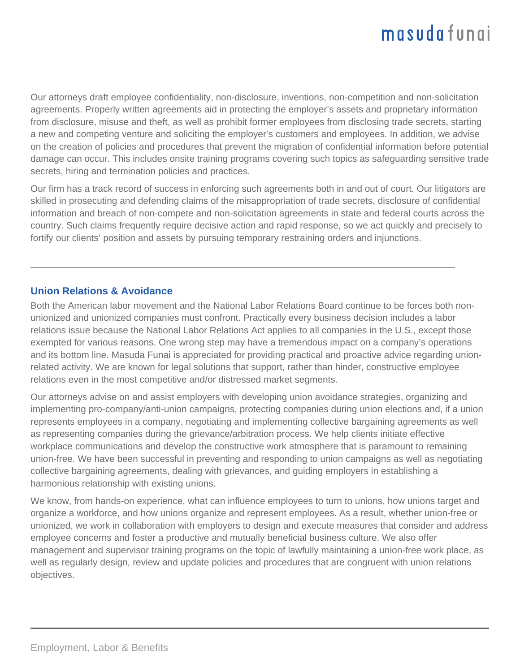Our attorneys draft employee confidentiality, non-disclosure, inventions, non-competition and non-solicitation agreements. Properly written agreements aid in protecting the employer's assets and proprietary information from disclosure, misuse and theft, as well as prohibit former employees from disclosing trade secrets, starting a new and competing venture and soliciting the employer's customers and employees. In addition, we advise on the creation of policies and procedures that prevent the migration of confidential information before potential damage can occur. This includes onsite training programs covering such topics as safeguarding sensitive trade secrets, hiring and termination policies and practices.

Our firm has a track record of success in enforcing such agreements both in and out of court. Our litigators are skilled in prosecuting and defending claims of the misappropriation of trade secrets, disclosure of confidential information and breach of non-compete and non-solicitation agreements in state and federal courts across the country. Such claims frequently require decisive action and rapid response, so we act quickly and precisely to fortify our clients' position and assets by pursuing temporary restraining orders and injunctions.

#### **Union Relations & Avoidance**

Both the American labor movement and the National Labor Relations Board continue to be forces both nonunionized and unionized companies must confront. Practically every business decision includes a labor relations issue because the National Labor Relations Act applies to all companies in the U.S., except those exempted for various reasons. One wrong step may have a tremendous impact on a company's operations and its bottom line. Masuda Funai is appreciated for providing practical and proactive advice regarding unionrelated activity. We are known for legal solutions that support, rather than hinder, constructive employee relations even in the most competitive and/or distressed market segments.

Our attorneys advise on and assist employers with developing union avoidance strategies, organizing and implementing pro-company/anti-union campaigns, protecting companies during union elections and, if a union represents employees in a company, negotiating and implementing collective bargaining agreements as well as representing companies during the grievance/arbitration process. We help clients initiate effective workplace communications and develop the constructive work atmosphere that is paramount to remaining union-free. We have been successful in preventing and responding to union campaigns as well as negotiating collective bargaining agreements, dealing with grievances, and guiding employers in establishing a harmonious relationship with existing unions.

We know, from hands-on experience, what can influence employees to turn to unions, how unions target and organize a workforce, and how unions organize and represent employees. As a result, whether union-free or unionized, we work in collaboration with employers to design and execute measures that consider and address employee concerns and foster a productive and mutually beneficial business culture. We also offer management and supervisor training programs on the topic of lawfully maintaining a union-free work place, as well as regularly design, review and update policies and procedures that are congruent with union relations objectives.